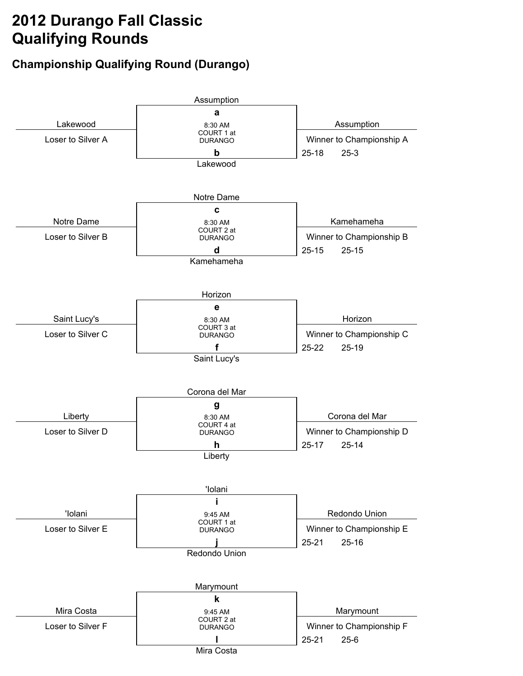## **2012 Durango Fall Classic Qualifying Rounds**

## **Championship Qualifying Round (Durango)**

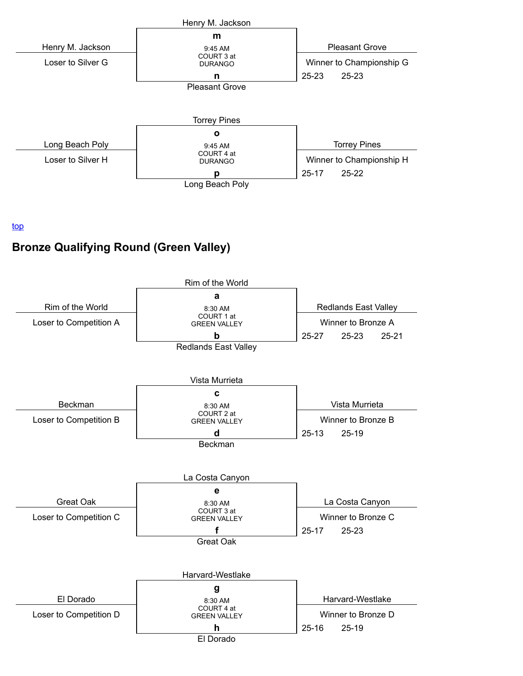

top

## **Bronze Qualifying Round (Green Valley)**

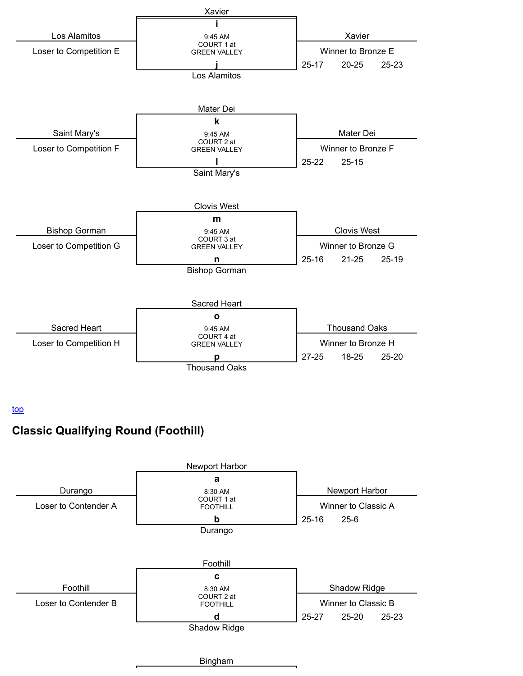

top

## **Classic Qualifying Round (Foothill)**